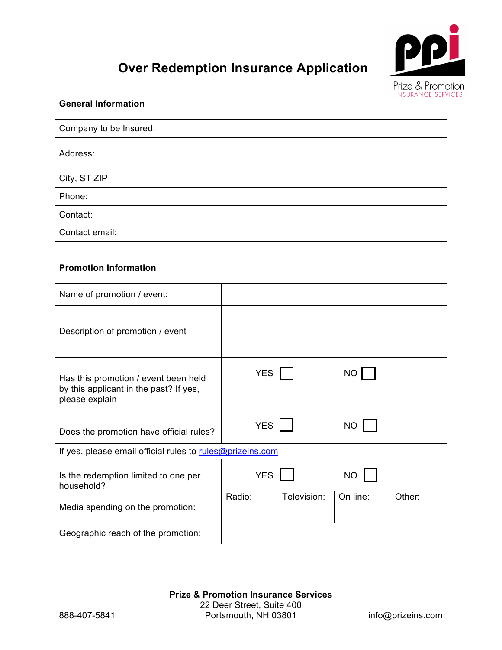

# **Over Redemption Insurance Application**

#### **General Information**

| Company to be Insured: |  |
|------------------------|--|
| Address:               |  |
| City, ST ZIP           |  |
| Phone:                 |  |
| Contact:               |  |
| Contact email:         |  |

# **Promotion Information**

| Name of promotion / event:                                                                       |            |             |           |        |
|--------------------------------------------------------------------------------------------------|------------|-------------|-----------|--------|
| Description of promotion / event                                                                 |            |             |           |        |
| Has this promotion / event been held<br>by this applicant in the past? If yes,<br>please explain | <b>YES</b> |             | NO.       |        |
| Does the promotion have official rules?                                                          | <b>YES</b> |             | ΝO        |        |
| If yes, please email official rules to rules@prizeins.com                                        |            |             |           |        |
| Is the redemption limited to one per<br>household?                                               | <b>YES</b> |             | <b>NO</b> |        |
| Media spending on the promotion:                                                                 | Radio:     | Television: | On line:  | Other: |
| Geographic reach of the promotion:                                                               |            |             |           |        |